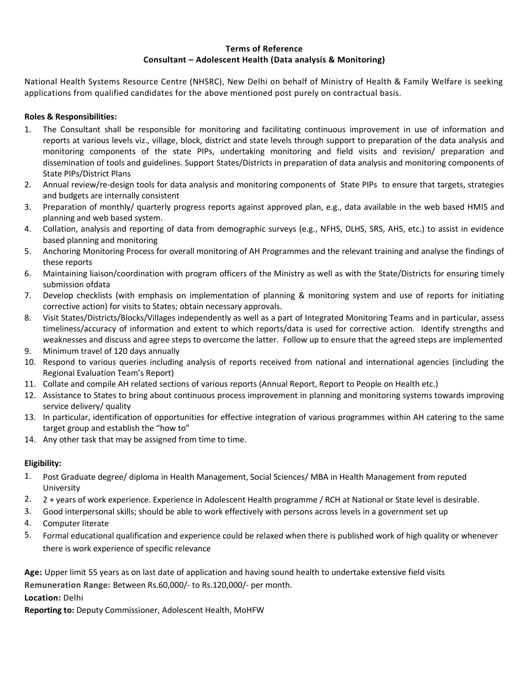#### **Terms of Reference Consultant – Adolescent Health (Data analysis & Monitoring)**

National Health Systems Resource Centre (NHSRC), New Delhi on behalf of Ministry of Health & Family Welfare is seeking applications from qualified candidates for the above mentioned post purely on contractual basis.

### **Roles & Responsibilities:**

- 1. The Consultant shall be responsible for monitoring and facilitating continuous improvement in use of information and reports at various levels viz., village, block, district and state levels through support to preparation of the data analysis and monitoring components of the state PIPs, undertaking monitoring and field visits and revision/ preparation and dissemination of tools and guidelines. Support States/Districts in preparation of data analysis and monitoring components of State PIPs/District Plans
- 2. Annual review/re-design tools for data analysis and monitoring components of State PIPs to ensure that targets, strategies and budgets are internally consistent
- 3. Preparation of monthly/ quarterly progress reports against approved plan, e.g., data available in the web based HMIS and planning and web based system.
- 4. Collation, analysis and reporting of data from demographic surveys (e.g., NFHS, DLHS, SRS, AHS, etc.) to assist in evidence based planning and monitoring
- 5. Anchoring Monitoring Process for overall monitoring of AH Programmes and the relevant training and analyse the findings of these reports
- 6. Maintaining liaison/coordination with program officers of the Ministry as well as with the State/Districts for ensuring timely submission ofdata
- 7. Develop checklists (with emphasis on implementation of planning & monitoring system and use of reports for initiating corrective action) for visits to States; obtain necessary approvals.
- 8. Visit States/Districts/Blocks/Villages independently as well as a part of Integrated Monitoring Teams and in particular, assess timeliness/accuracy of information and extent to which reports/data is used for corrective action. Identify strengths and weaknesses and discuss and agree steps to overcome the latter. Follow up to ensure that the agreed steps are implemented
- 9. Minimum travel of 120 days annually
- 10. Respond to various queries including analysis of reports received from national and international agencies (including the Regional Evaluation Team's Report)
- 11. Collate and compile AH related sections of various reports (Annual Report, Report to People on Health etc.)
- 12. Assistance to States to bring about continuous process improvement in planning and monitoring systems towards improving service delivery/ quality
- 13. In particular, identification of opportunities for effective integration of various programmes within AH catering to the same target group and establish the "how to"
- 14. Any other task that may be assigned from time to time.

#### **Eligibility:**

- 1. Post Graduate degree/ diploma in Health Management, Social Sciences/ MBA in Health Management from reputed University
- 2. 2 + years of work experience. Experience in Adolescent Health programme / RCH at National or State level is desirable.
- 3. Good interpersonal skills; should be able to work effectively with persons across levels in a government set up
- 4. Computer literate
- 5. Formal educational qualification and experience could be relaxed when there is published work of high quality or whenever there is work experience of specific relevance

**Age:** Upper limit 55 years as on last date of application and having sound health to undertake extensive field visits **Remuneration Range:** Between Rs.60,000/- to Rs.120,000/- per month. **Location:** Delhi

**Reporting to:** Deputy Commissioner, Adolescent Health, MoHFW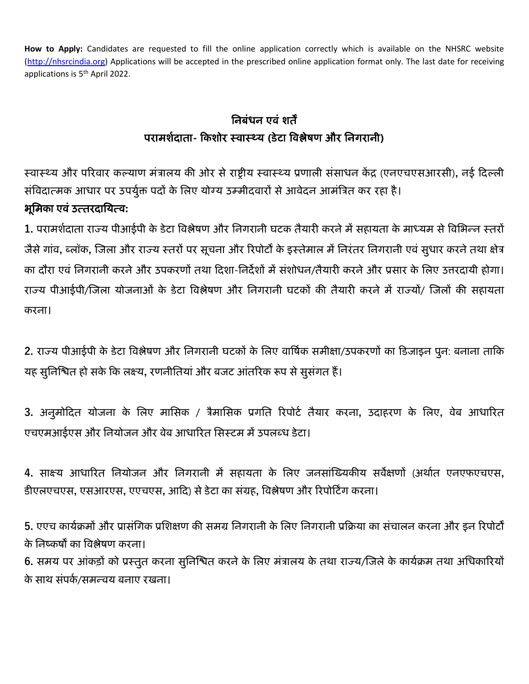**How to Apply:** Candidates are requested to fill the online application correctly which is available on the NHSRC website [\(http://nhsrcindia.org\)](http://nhsrcindia.org/) Applications will be accepted in the prescribed online application format only. The last date for receiving applications is 5<sup>th</sup> April 2022.

# निबंधन एवं शर्तें परामशशदार्ता**-** किशोर स्वास््य **(**डेटा ववश्लेषण और निगरािी**)**

स्वास्थ्य और परिवार कल्याण मंत्रालय की ओर से राष्ट्रीय स्वास्थ्य प्रणाली संसाधन केंद्र (एनएचएसआरसी), नई दिल्ली संविदात्मक आधार पर उपर्युक्त पदों के लिए योग्य उम्मीदवारों से आवेदन आमंत्रित कर रहा है। भूनमिा एवं उत्र्तरदानयत्व**:**

1. परामर्शदाता राज्य पीआईपी के डेटा विश्लेषण और निगरानी घटक तैयारी करने में सहायता के माध्यम से विभिन्न स्तरों जैसे गांव, ब्लॉक, जिला और राज्य स्तरों पर सूचना और रिपोर्टों के इस्तेमाल में निरंतर निगरानी एवं सुधार करने तथा क्षेत्र का दौरा एवं निगरानी करने और उपकरणों तथा दिशा-निर्देशों में संशोधन/तैयारी करने और प्रसार के लिए उत्तरदायी होगा। राज्य पीआईपी/जिला योजनाओं के डेटा विश्लेषण और निगरानी घटकों की तैयारी करने में राज्यों/ जिलों की सहायता करना।

2. राज्य पीआईपी के डेटा विश्लेषण और निगरानी घटकों के लिए वार्षिक समीक्षा/उपकरणों का डिजाइन पुन: बनाना ताकि यह सूनिश्चित हो सके कि लक्ष्य, रणनीतियां और बजट आंतरिक रूप से सूसंगत हैं।

3. अनुमोदित योजना के लिए मासिक / त्रैमासिक प्रगति रिपोर्ट तैयार करना, उदाहरण के लिए, वेब आधारित एचएमआईएस और नियोजन और वेब आधारित सिस्टम में उपलब्ध डेटा।

**4.** साक्ष्य आधाररर्त नियोजि और निगरािी में सहायर्ता िे नलए जिसांजययिीय सवेक्षणों (अथाशर्त एिएफएचएस**,**  डीएलएचएस, एसआरएस, एएचएस, आदि) से डेटा का संग्रह, विश्लेषण और रिपोर्टिंग करना।

5. एएच कार्यक्रमों और प्रासंगिक प्रशिक्षण की समग्र निगरानी के लिए निगरानी प्रक्रिया का संचालन करना और इन रिपोर्टो के निष्कर्षों का विश्लेषण करना।

6. समय पर आंकड़ों को प्रस्तुत करना सुनिश्चित करने के लिए मंत्रालय के तथा राज्य/जिले के कार्यक्रम तथा अधिकारियों के साथ संपर्क/समन्वय बनाए रखना।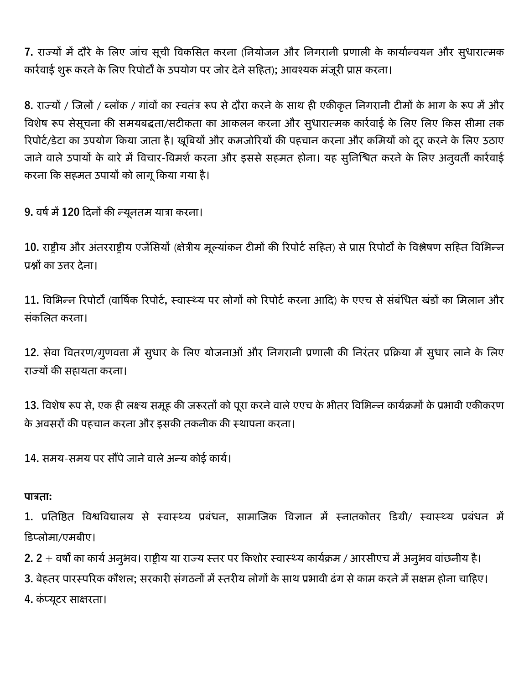7. राज्यों में दौरे के लिए जांच सूची विकसित करना (नियोजन और निगरानी प्रणाली के कार्यान्वयन और सुधारात्मक कार्रवाई शुरू करने के लिए रिपोर्टों के उपयोग पर जोर देने सहित); आवश्यक मंजूरी प्राप्त करना।

8. राज्यों / जिलों / ब्लॉक / गांवों का स्वतंत्र रूप से दौरा करने के साथ ही एकीकृत निगरानी टीमों के भाग के रूप में और विशेष रूप सेसूचना की समयबद्धता/सटीकता का आकलन करना और सुधारात्मक कार्रवाई के लिए लिए किस सीमा तक रिपोर्ट/डेटा का उपयोग किया जाता है। खूबियों और कमजोरियों की पहचान करना और कमियों को दूर करने के लिए उठाए जाने वाले उपायों के बारे में विचार-विमर्श करना और इससे सहमत होना। यह सुनिश्चित करने के लिए अनुवर्ती कार्रवाई करना कि सहमत उपायों को लागू किया गया है।

9. वर्ष में 120 दिनों की न्यूनतम यात्रा करना।

10. राष्ट्रीय और अंतरराष्ट्रीय एजेंसियों (क्षेत्रीय मूल्यांकन टीमों की रिपोर्ट सहित) से प्राप्त रिपोर्टों के विश्लेषण सहित विभिन्न प्रश्नों का उत्तर देना।

11. विभिन्न रिपोर्टों (वार्षिक रिपोर्ट, स्वास्थ्य पर लोगों को रिपोर्ट करना आदि) के एएच से संबंधित खंडों का मिलान और संकलित करना।

12. सेवा वितरण/गुणवत्ता में सुधार के लिए योजनाओं और निगरानी प्रणाली की निरंतर प्रक्रिया में सुधार लाने के लिए राज्यों की सहायता करना।

13. विशेष रूप से, एक ही लक्ष्य समूह की जरूरतों को पूरा करने वाले एएच के भीतर विभिन्न कार्यक्रमों के प्रभावी एकीकरण के अवसरों की पहचान करना और इसकी तकनीक की स्थापना करना।

14. समय-समय पर सौंपे जाने वाले अन्य कोई कार्य।

## पात्रर्ता**:**

1. प्रतिष्ठित विश्वविद्यालय से स्वास्थ्य प्रबंधन, सामाजिक विज्ञान में स्नातकोत्तर डिग्री/ स्वास्थ्य प्रबंधन में कडप्लोमा/एमबीए।

2. 2 + वर्षों का कार्य अनुभव। राष्ट्रीय या राज्य स्तर पर किशोर स्वास्थ्य कार्यक्रम / आरसीएच में अनुभव वांछनीय है।

3. बेहतर पारस्परिक कौशल; सरकारी संगठनों में स्तरीय लोगों के साथ प्रभावी ढंग से काम करने में सक्षम होना चाहिए।

**4.** िं प्यूटर साक्षरर्ता।